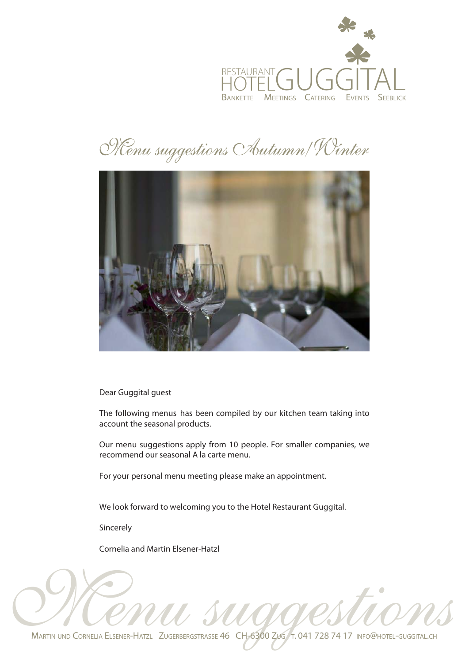

## Menu suggestions Autumn/Winter



Dear Guggital guest

The following menus has been compiled by our kitchen team taking into account the seasonal products.

Our menu suggestions apply from 10 people. For smaller companies, we recommend our seasonal A la carte menu.

For your personal menu meeting please make an appointment.

We look forward to welcoming you to the Hotel Restaurant Guggital.

Sincerely

Cornelia and Martin Elsener-Hatzl

MARTIN UND CORNELIA ELSENER-HATZL ZUGERBERGSTRASSE 46 CH-6300 ZUG T. 041 728 74 17 INFO@HOTEL-GUGGITAL.CH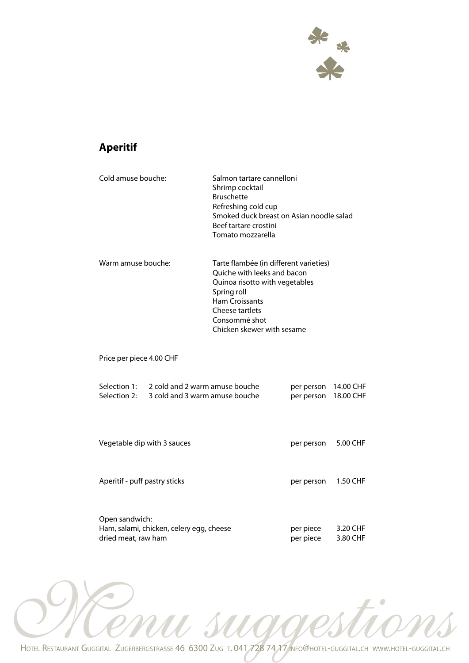

#### **Aperitif**

| Cold amuse bouche:                    |                                                                  | Salmon tartare cannelloni<br>Shrimp cocktail<br><b>Bruschette</b><br>Refreshing cold cup<br>Smoked duck breast on Asian noodle salad<br>Beef tartare crostini<br>Tomato mozzarella                                |                          |                        |
|---------------------------------------|------------------------------------------------------------------|-------------------------------------------------------------------------------------------------------------------------------------------------------------------------------------------------------------------|--------------------------|------------------------|
| Warm amuse bouche:                    |                                                                  | Tarte flambée (in different varieties)<br>Ouiche with leeks and bacon<br>Quinoa risotto with vegetables<br>Spring roll<br><b>Ham Croissants</b><br>Cheese tartlets<br>Consommé shot<br>Chicken skewer with sesame |                          |                        |
| Price per piece 4.00 CHF              |                                                                  |                                                                                                                                                                                                                   |                          |                        |
| Selection 1:<br>Selection 2:          | 2 cold and 2 warm amuse bouche<br>3 cold and 3 warm amuse bouche |                                                                                                                                                                                                                   | per person<br>per person | 14.00 CHF<br>18.00 CHF |
| Vegetable dip with 3 sauces           |                                                                  |                                                                                                                                                                                                                   | per person               | 5.00 CHF               |
| Aperitif - puff pastry sticks         |                                                                  |                                                                                                                                                                                                                   | per person               | 1.50 CHF               |
| Open sandwich:<br>dried meat, raw ham | Ham, salami, chicken, celery egg, cheese                         |                                                                                                                                                                                                                   | per piece<br>per piece   | 3.20 CHF<br>3.80 CHF   |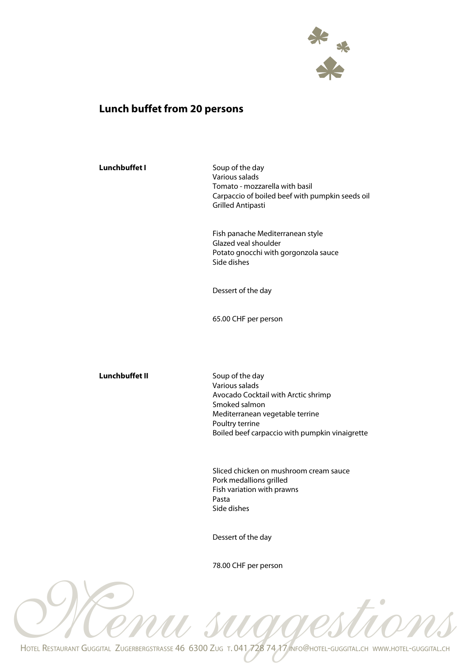

#### **Lunch buffet from 20 persons**

| <b>Lunchbuffet I</b>  | Soup of the day<br>Various salads<br>Tomato - mozzarella with basil<br>Carpaccio of boiled beef with pumpkin seeds oil<br><b>Grilled Antipasti</b>                                                |
|-----------------------|---------------------------------------------------------------------------------------------------------------------------------------------------------------------------------------------------|
|                       | Fish panache Mediterranean style<br>Glazed veal shoulder<br>Potato gnocchi with gorgonzola sauce<br>Side dishes                                                                                   |
|                       | Dessert of the day                                                                                                                                                                                |
|                       | 65.00 CHF per person                                                                                                                                                                              |
|                       |                                                                                                                                                                                                   |
| <b>Lunchbuffet II</b> | Soup of the day<br>Various salads<br>Avocado Cocktail with Arctic shrimp<br>Smoked salmon<br>Mediterranean vegetable terrine<br>Poultry terrine<br>Boiled beef carpaccio with pumpkin vinaigrette |
|                       | Sliced chicken on mushroom cream sauce<br>Pork medallions grilled<br>Fish variation with prawns<br>Pasta<br>Side dishes                                                                           |
|                       |                                                                                                                                                                                                   |

78.00 CHF per person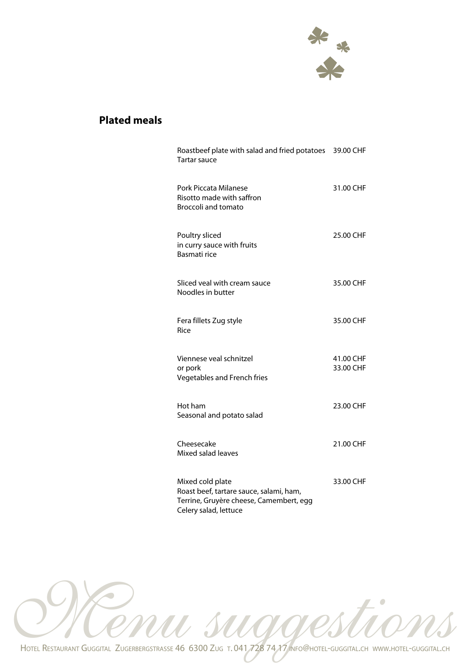

#### **Plated meals**

| Roastbeef plate with salad and fried potatoes 39.00 CHF<br>Tartar sauce                                                         |                        |
|---------------------------------------------------------------------------------------------------------------------------------|------------------------|
| Pork Piccata Milanese<br>Risotto made with saffron<br><b>Broccoli and tomato</b>                                                | 31.00 CHF              |
| Poultry sliced<br>in curry sauce with fruits<br>Basmati rice                                                                    | 25.00 CHF              |
| Sliced veal with cream sauce<br>Noodles in butter                                                                               | 35.00 CHF              |
| Fera fillets Zug style<br>Rice                                                                                                  | 35.00 CHF              |
| Viennese veal schnitzel<br>or pork<br>Vegetables and French fries                                                               | 41.00 CHF<br>33.00 CHF |
| Hot ham<br>Seasonal and potato salad                                                                                            | 23.00 CHF              |
| Cheesecake<br>Mixed salad leaves                                                                                                | 21.00 CHF              |
| Mixed cold plate<br>Roast beef, tartare sauce, salami, ham,<br>Terrine, Gruyère cheese, Camembert, egg<br>Celery salad, lettuce | 33.00 CHF              |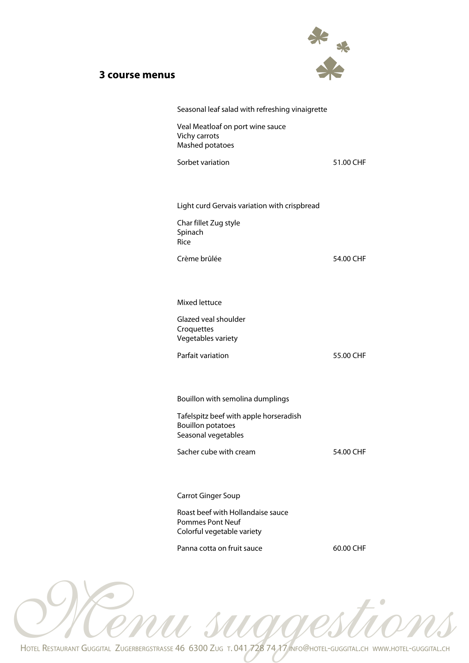#### **3 course menus**



| Seasonal leaf salad with refreshing vinaigrette                                            |           |
|--------------------------------------------------------------------------------------------|-----------|
| Veal Meatloaf on port wine sauce<br>Vichy carrots<br>Mashed potatoes                       |           |
| Sorbet variation                                                                           | 51.00 CHF |
|                                                                                            |           |
| Light curd Gervais variation with crispbread                                               |           |
| Char fillet Zug style<br>Spinach<br>Rice                                                   |           |
| Crème brûlée                                                                               | 54.00 CHF |
|                                                                                            |           |
| Mixed lettuce                                                                              |           |
| Glazed veal shoulder<br>Croquettes<br>Vegetables variety                                   |           |
| Parfait variation                                                                          | 55.00 CHF |
|                                                                                            |           |
| Bouillon with semolina dumplings                                                           |           |
| Tafelspitz beef with apple horseradish<br><b>Bouillon potatoes</b><br>Seasonal vegetables  |           |
| Sacher cube with cream                                                                     | 54.00 CHF |
|                                                                                            |           |
| <b>Carrot Ginger Soup</b>                                                                  |           |
| Roast beef with Hollandaise sauce<br><b>Pommes Pont Neuf</b><br>Colorful vegetable variety |           |
| Panna cotta on fruit sauce                                                                 | 60.00 CHF |
|                                                                                            |           |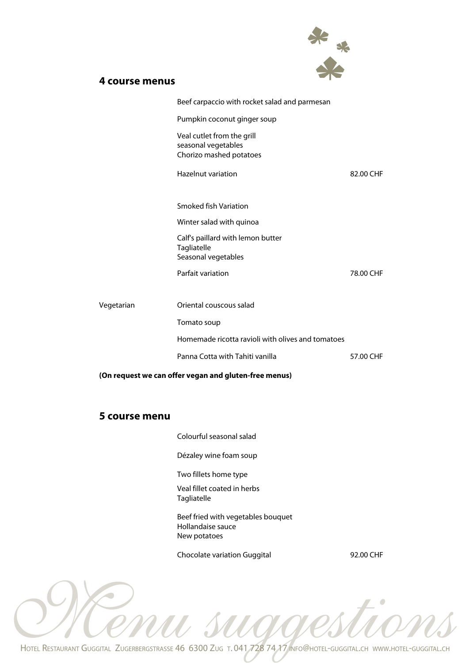

#### **4 course menus**

|            | Beef carpaccio with rocket salad and parmesan                                |           |
|------------|------------------------------------------------------------------------------|-----------|
|            | Pumpkin coconut ginger soup                                                  |           |
|            | Veal cutlet from the grill<br>seasonal vegetables<br>Chorizo mashed potatoes |           |
|            | <b>Hazelnut variation</b>                                                    | 82.00 CHF |
|            | <b>Smoked fish Variation</b>                                                 |           |
|            | Winter salad with quinoa                                                     |           |
|            | Calf's paillard with lemon butter<br>Tagliatelle<br>Seasonal vegetables      |           |
|            | <b>Parfait variation</b>                                                     | 78.00 CHF |
| Vegetarian | Oriental couscous salad                                                      |           |
|            | Tomato soup                                                                  |           |
|            | Homemade ricotta ravioli with olives and tomatoes                            |           |
|            | Panna Cotta with Tahiti vanilla                                              | 57.00 CHF |

**(On request we can offer vegan and gluten-free menus)** 

#### **5 course menu**

Colourful seasonal salad

Dézaley wine foam soup

Two fillets home type

Veal fillet coated in herbs Tagliatelle

Beef fried with vegetables bouquet Hollandaise sauce New potatoes

Chocolate variation Guggital 92.00 CHF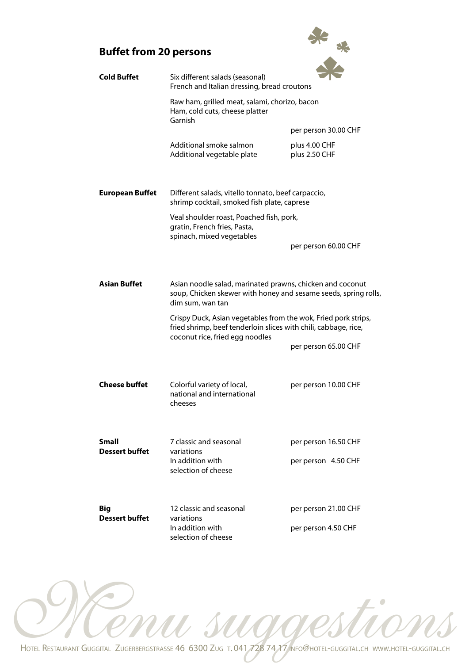#### **Buffet from 20 persons**



| <b>Cold Buffet</b>             | Six different salads (seasonal)<br>French and Italian dressing, bread croutons                                                                                       |                                |  |
|--------------------------------|----------------------------------------------------------------------------------------------------------------------------------------------------------------------|--------------------------------|--|
|                                | Raw ham, grilled meat, salami, chorizo, bacon<br>Ham, cold cuts, cheese platter<br>Garnish                                                                           |                                |  |
|                                |                                                                                                                                                                      | per person 30.00 CHF           |  |
|                                | Additional smoke salmon<br>Additional vegetable plate                                                                                                                | plus 4.00 CHF<br>plus 2.50 CHF |  |
| <b>European Buffet</b>         | Different salads, vitello tonnato, beef carpaccio,<br>shrimp cocktail, smoked fish plate, caprese                                                                    |                                |  |
|                                | Veal shoulder roast, Poached fish, pork,<br>gratin, French fries, Pasta,<br>spinach, mixed vegetables                                                                |                                |  |
|                                |                                                                                                                                                                      | per person 60.00 CHF           |  |
| <b>Asian Buffet</b>            | Asian noodle salad, marinated prawns, chicken and coconut<br>soup, Chicken skewer with honey and sesame seeds, spring rolls,<br>dim sum, wan tan                     |                                |  |
|                                | Crispy Duck, Asian vegetables from the wok, Fried pork strips,<br>fried shrimp, beef tenderloin slices with chili, cabbage, rice,<br>coconut rice, fried egg noodles |                                |  |
|                                |                                                                                                                                                                      | per person 65.00 CHF           |  |
| Cheese buffet                  | Colorful variety of local,<br>national and international<br>cheeses                                                                                                  | per person 10.00 CHF           |  |
| Small<br><b>Dessert buffet</b> | 7 classic and seasonal<br>variations                                                                                                                                 | per person 16.50 CHF           |  |
|                                | In addition with<br>selection of cheese                                                                                                                              | per person 4.50 CHF            |  |
| Big<br><b>Dessert buffet</b>   | 12 classic and seasonal<br>variations                                                                                                                                | per person 21.00 CHF           |  |
|                                | In addition with<br>selection of cheese                                                                                                                              | per person 4.50 CHF            |  |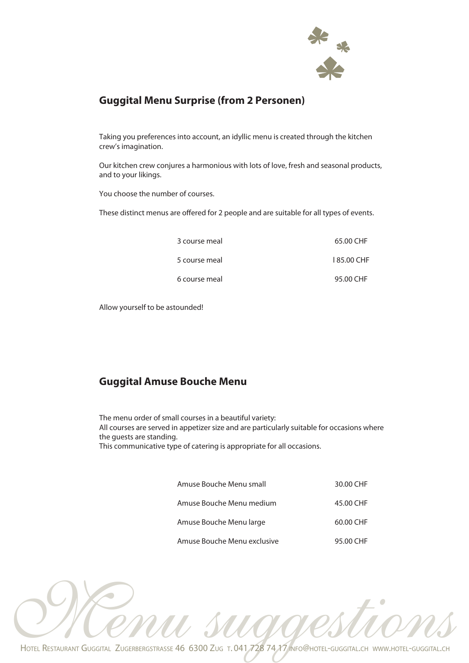

#### **Guggital Menu Surprise (from 2 Personen)**

Taking you preferences into account, an idyllic menu is created through the kitchen crew's imagination.

Our kitchen crew conjures a harmonious with lots of love, fresh and seasonal products, and to your likings.

You choose the number of courses.

These distinct menus are offered for 2 people and are suitable for all types of events.

| 3 course meal | 65.00 CHF  |
|---------------|------------|
| 5 course meal | 185.00 CHF |
| 6 course meal | 95.00 CHF  |

Allow yourself to be astounded!

#### **Guggital Amuse Bouche Menu**

The menu order of small courses in a beautiful variety: All courses are served in appetizer size and are particularly suitable for occasions where the guests are standing. This communicative type of catering is appropriate for all occasions.

| Amuse Bouche Menu small     | 30.00 CHF |
|-----------------------------|-----------|
| Amuse Bouche Menu medium    | 45.00 CHF |
| Amuse Bouche Menu large     | 60.00 CHF |
| Amuse Bouche Menu exclusive | 95.00 CHF |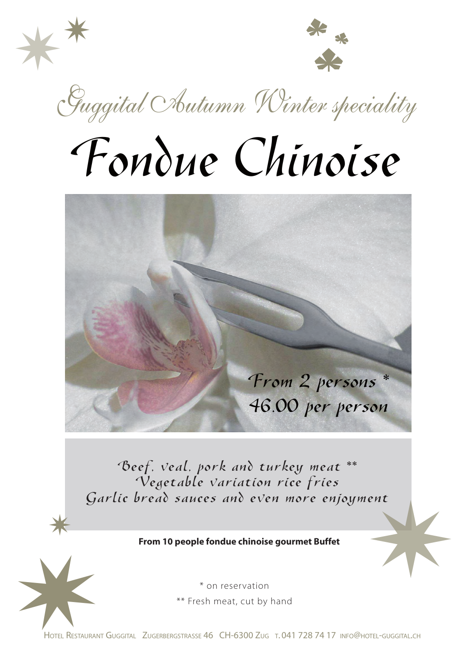



Guggital Autumn Winter speciality

# Fondue Chinoise



Beef, veal, pork and turkey meat \*\* Vegetable variation rice fries Garlic bread sauces and even more enjoyment

#### **From 10 people fondue chinoise gourmet Buffet**

Garlie bread sauces and even more enjoyment<br>From 10 people fondue chinoise gourmet Buffet<br>\* on reservation<br>\*\* Fresh meat, cut by hand<br>Hore RESTAURANT GUGGITAL ZUGERBERGSTRASSE 46 CH-6300 ZUG T. 041 728 74 17 INFO@HOTEL-GUG

\*

\* on reservation \*\* Fresh meat, cut by hand

HOTEL RESTAURANT GUGGITAL ZUGERBERGSTRASSE 46 CH-6300 ZUG T. 041 728 74 17 INFO@HOTEL-GUGGITAL.CH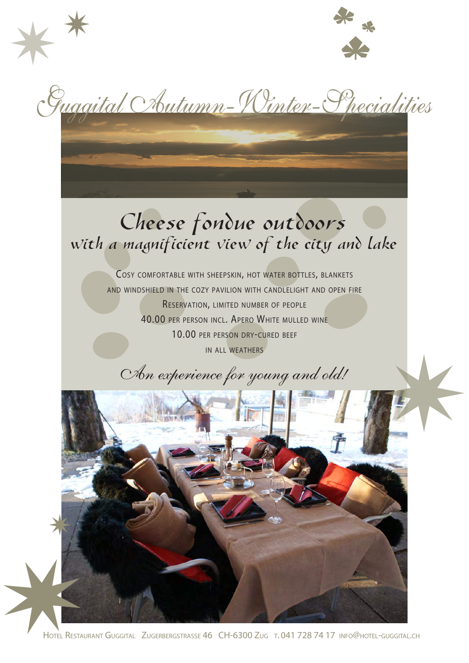

Guggital Chutumn-Winter-Specialities

\*\*

## Cheese fondue outdoors with a magnificient view of the city and lake

COSY COMFORTABLE WITH SHEEPSKIN, HOT WATER BOTTLES, BLANKETS AND WINDSHIELD IN THE COZY PAVILION WITH CANDLELIGHT AND OPEN FIRE RESERVATION, LIMITED NUMBER OF PEOPLE 40.00 PER PERSON INCL. APERO WHITE MULLED WINE 10.00 PER PERSON DRY-CURED BEEF IN ALL WEATHERS

An experience for young and old!



HOTEL RESTAURANT GUGGITAL ZUGERBERGSTRASSE 46 CH-6300 ZUG T. 041 728 74 17 INFO@HOTEL-GUGGITAL.CH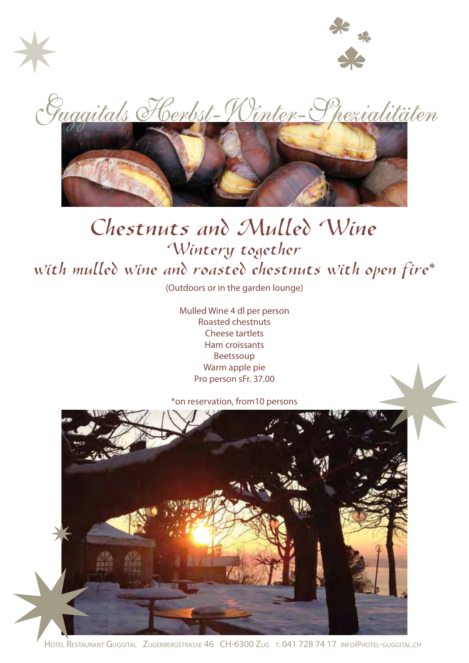



<u>Guggitals Herbst-Winter-Spezialitäten</u>



## Chestnuts and Mulled Wine Wintery together with mulled wine and roasted chestnuts with open fire\*

(Outdoors or in the garden lounge)

Mulled Wine 4 dl per person Roasted chestnuts Cheese tartlets Ham croissants Beetssoup Warm apple pie Pro person sFr. 37.00

\*on reservation, from10 persons

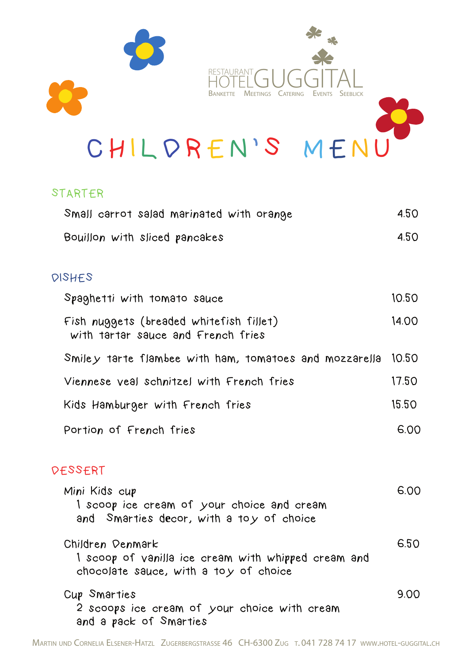

CHILDREN'S MENU

#### STARTER

| Small carrot salad marinated with orange                                                                         | 4.50  |
|------------------------------------------------------------------------------------------------------------------|-------|
| Bouillon with sliced pancakes                                                                                    | 4.50  |
| DISHES                                                                                                           |       |
| Spaghetti with tomato sauce                                                                                      | 10.50 |
| Fish nuggets (breaded whitefish fillet)<br>with tartar sauce and French fries                                    | 14.00 |
| Smiley tarte flambee with ham, tomatoes and mozzarella                                                           | 10.50 |
| Viennese yeal schnitzel with French fries                                                                        | 17.50 |
| Kids Hamburger with French fries                                                                                 | 15.50 |
| Portion of French fries                                                                                          | 6.00  |
| DESSERT                                                                                                          |       |
| Mini Kids cup<br>I scoop ice cream of your choice and cream<br>and Smarties decor, with a toy of choice          | 6.00  |
| Children Denmark<br>1 scoop of vanilla ice cream with whipped cream and<br>chocolate sauce, with a toy of choice | 6.50  |
| Cup Smarties<br>2 scoops ice cream of your choice with cream<br>and a pack of Smarties                           | 9.00  |